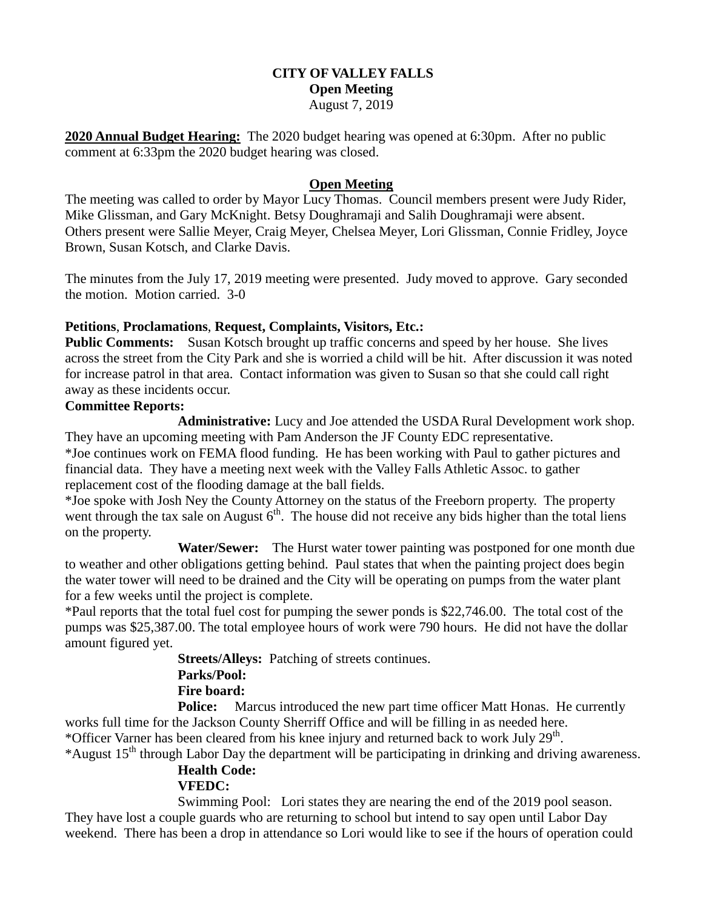### **CITY OF VALLEY FALLS Open Meeting** August 7, 2019

**2020 Annual Budget Hearing:** The 2020 budget hearing was opened at 6:30pm. After no public comment at 6:33pm the 2020 budget hearing was closed.

### **Open Meeting**

The meeting was called to order by Mayor Lucy Thomas. Council members present were Judy Rider, Mike Glissman, and Gary McKnight. Betsy Doughramaji and Salih Doughramaji were absent. Others present were Sallie Meyer, Craig Meyer, Chelsea Meyer, Lori Glissman, Connie Fridley, Joyce Brown, Susan Kotsch, and Clarke Davis.

The minutes from the July 17, 2019 meeting were presented. Judy moved to approve. Gary seconded the motion. Motion carried. 3-0

### **Petitions**, **Proclamations**, **Request, Complaints, Visitors, Etc.:**

**Public Comments:** Susan Kotsch brought up traffic concerns and speed by her house. She lives across the street from the City Park and she is worried a child will be hit. After discussion it was noted for increase patrol in that area. Contact information was given to Susan so that she could call right away as these incidents occur.

#### **Committee Reports:**

**Administrative:** Lucy and Joe attended the USDA Rural Development work shop. They have an upcoming meeting with Pam Anderson the JF County EDC representative. \*Joe continues work on FEMA flood funding. He has been working with Paul to gather pictures and financial data. They have a meeting next week with the Valley Falls Athletic Assoc. to gather replacement cost of the flooding damage at the ball fields.

\*Joe spoke with Josh Ney the County Attorney on the status of the Freeborn property. The property went through the tax sale on August  $6<sup>th</sup>$ . The house did not receive any bids higher than the total liens on the property.

 **Water/Sewer:** The Hurst water tower painting was postponed for one month due to weather and other obligations getting behind. Paul states that when the painting project does begin the water tower will need to be drained and the City will be operating on pumps from the water plant for a few weeks until the project is complete.

\*Paul reports that the total fuel cost for pumping the sewer ponds is \$22,746.00. The total cost of the pumps was \$25,387.00. The total employee hours of work were 790 hours. He did not have the dollar amount figured yet.

> **Streets/Alleys:** Patching of streets continues. **Parks/Pool:**

## **Fire board:**

**Police:** Marcus introduced the new part time officer Matt Honas. He currently works full time for the Jackson County Sherriff Office and will be filling in as needed here. \*Officer Varner has been cleared from his knee injury and returned back to work July 29<sup>th</sup>.

# \*August 15<sup>th</sup> through Labor Day the department will be participating in drinking and driving awareness. **Health Code:**

# **VFEDC:**

Swimming Pool: Lori states they are nearing the end of the 2019 pool season. They have lost a couple guards who are returning to school but intend to say open until Labor Day weekend. There has been a drop in attendance so Lori would like to see if the hours of operation could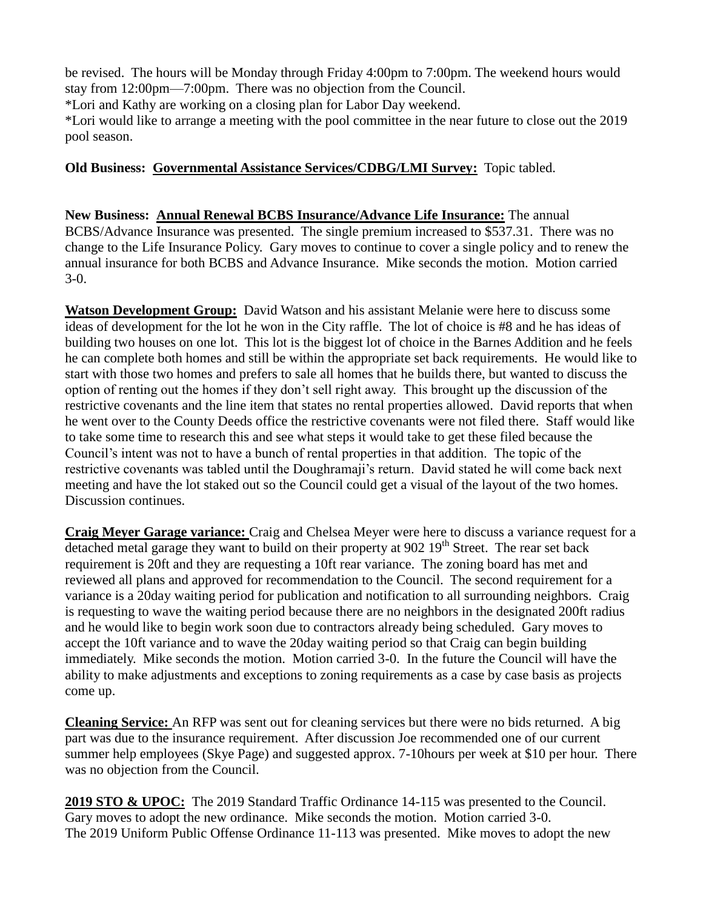be revised. The hours will be Monday through Friday 4:00pm to 7:00pm. The weekend hours would stay from 12:00pm—7:00pm. There was no objection from the Council.

\*Lori and Kathy are working on a closing plan for Labor Day weekend.

\*Lori would like to arrange a meeting with the pool committee in the near future to close out the 2019 pool season.

# **Old Business: Governmental Assistance Services/CDBG/LMI Survey:** Topic tabled.

**New Business: Annual Renewal BCBS Insurance/Advance Life Insurance:** The annual BCBS/Advance Insurance was presented. The single premium increased to \$537.31. There was no change to the Life Insurance Policy. Gary moves to continue to cover a single policy and to renew the annual insurance for both BCBS and Advance Insurance. Mike seconds the motion. Motion carried 3-0.

**Watson Development Group:** David Watson and his assistant Melanie were here to discuss some ideas of development for the lot he won in the City raffle. The lot of choice is #8 and he has ideas of building two houses on one lot. This lot is the biggest lot of choice in the Barnes Addition and he feels he can complete both homes and still be within the appropriate set back requirements. He would like to start with those two homes and prefers to sale all homes that he builds there, but wanted to discuss the option of renting out the homes if they don't sell right away. This brought up the discussion of the restrictive covenants and the line item that states no rental properties allowed. David reports that when he went over to the County Deeds office the restrictive covenants were not filed there. Staff would like to take some time to research this and see what steps it would take to get these filed because the Council's intent was not to have a bunch of rental properties in that addition. The topic of the restrictive covenants was tabled until the Doughramaji's return. David stated he will come back next meeting and have the lot staked out so the Council could get a visual of the layout of the two homes. Discussion continues.

**Craig Meyer Garage variance:** Craig and Chelsea Meyer were here to discuss a variance request for a detached metal garage they want to build on their property at 902 19<sup>th</sup> Street. The rear set back requirement is 20ft and they are requesting a 10ft rear variance. The zoning board has met and reviewed all plans and approved for recommendation to the Council. The second requirement for a variance is a 20day waiting period for publication and notification to all surrounding neighbors. Craig is requesting to wave the waiting period because there are no neighbors in the designated 200ft radius and he would like to begin work soon due to contractors already being scheduled. Gary moves to accept the 10ft variance and to wave the 20day waiting period so that Craig can begin building immediately. Mike seconds the motion. Motion carried 3-0. In the future the Council will have the ability to make adjustments and exceptions to zoning requirements as a case by case basis as projects come up.

**Cleaning Service:** An RFP was sent out for cleaning services but there were no bids returned. A big part was due to the insurance requirement. After discussion Joe recommended one of our current summer help employees (Skye Page) and suggested approx. 7-10hours per week at \$10 per hour. There was no objection from the Council.

**2019 STO & UPOC:** The 2019 Standard Traffic Ordinance 14-115 was presented to the Council. Gary moves to adopt the new ordinance. Mike seconds the motion. Motion carried 3-0. The 2019 Uniform Public Offense Ordinance 11-113 was presented. Mike moves to adopt the new